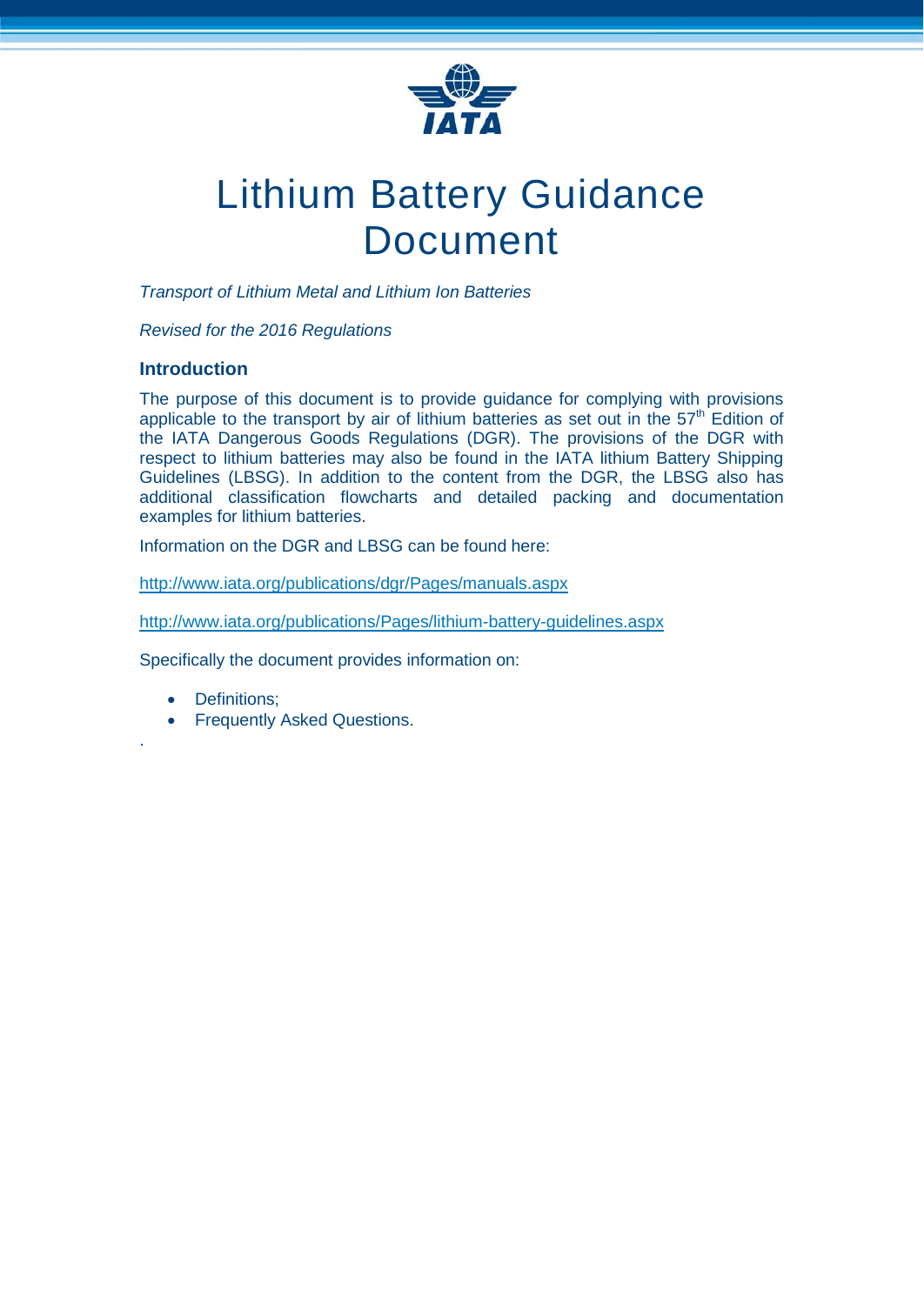

# Lithium Battery Guidance Document

*Transport of Lithium Metal and Lithium Ion Batteries*

*Revised for the 2016 Regulations*

# **Introduction**

The purpose of this document is to provide guidance for complying with provisions applicable to the transport by air of lithium batteries as set out in the  $57<sup>th</sup>$  Edition of the IATA Dangerous Goods Regulations (DGR). The provisions of the DGR with respect to lithium batteries may also be found in the IATA lithium Battery Shipping Guidelines (LBSG). In addition to the content from the DGR, the LBSG also has additional classification flowcharts and detailed packing and documentation examples for lithium batteries.

Information on the DGR and LBSG can be found here:

<http://www.iata.org/publications/dgr/Pages/manuals.aspx>

<http://www.iata.org/publications/Pages/lithium-battery-guidelines.aspx>

Specifically the document provides information on:

Definitions;

.

• Frequently Asked Questions.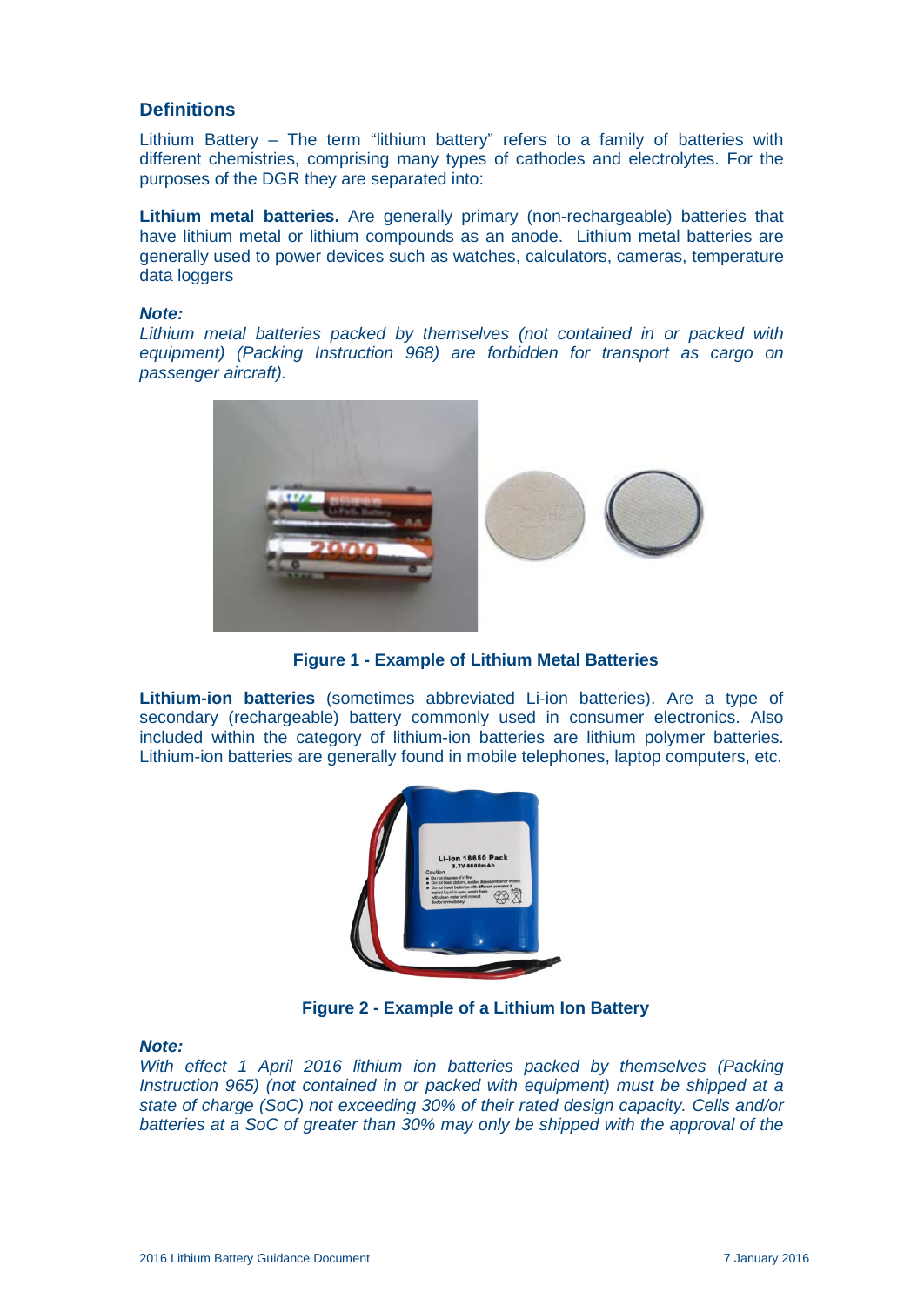# **Definitions**

Lithium Battery – The term "lithium battery" refers to a family of batteries with different chemistries, comprising many types of cathodes and electrolytes. For the purposes of the DGR they are separated into:

**Lithium metal batteries.** Are generally primary (non-rechargeable) batteries that have lithium metal or lithium compounds as an anode. Lithium metal batteries are generally used to power devices such as watches, calculators, cameras, temperature data loggers

#### *Note:*

Lithium metal batteries packed by themselves (not contained in or packed with *equipment) (Packing Instruction 968) are forbidden for transport as cargo on passenger aircraft).*



**Figure 1 - Example of Lithium Metal Batteries**

**Lithium-ion batteries** (sometimes abbreviated Li-ion batteries). Are a type of secondary (rechargeable) battery commonly used in consumer electronics. Also included within the category of lithium-ion batteries are lithium polymer batteries. Lithium-ion batteries are generally found in mobile telephones, laptop computers, etc.



**Figure 2 - Example of a Lithium Ion Battery**

#### *Note:*

*With effect 1 April 2016 lithium ion batteries packed by themselves (Packing Instruction 965) (not contained in or packed with equipment) must be shipped at a state of charge (SoC) not exceeding 30% of their rated design capacity. Cells and/or batteries at a SoC of greater than 30% may only be shipped with the approval of the*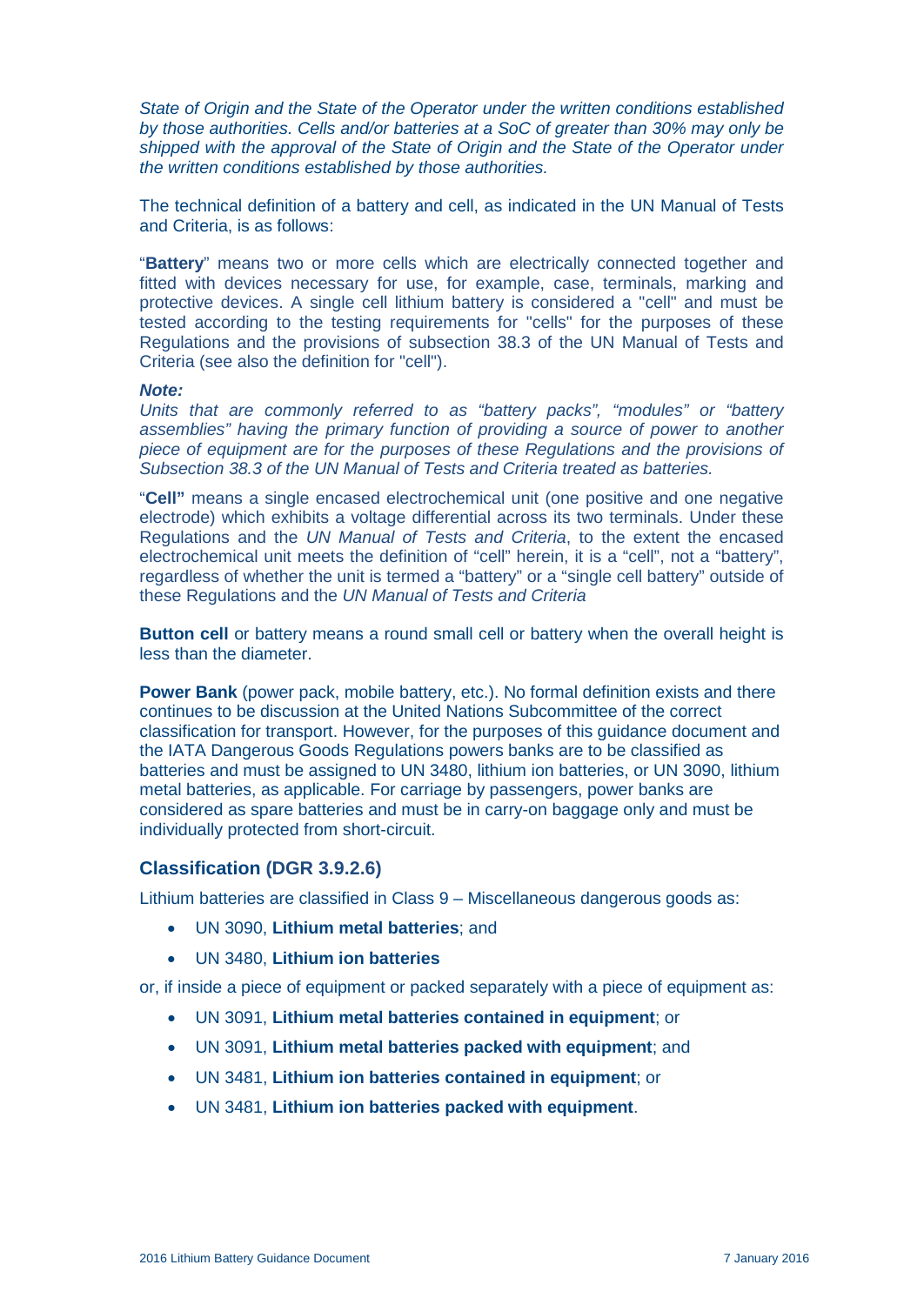*State of Origin and the State of the Operator under the written conditions established by those authorities. Cells and/or batteries at a SoC of greater than 30% may only be shipped with the approval of the State of Origin and the State of the Operator under the written conditions established by those authorities.*

The technical definition of a battery and cell, as indicated in the UN Manual of Tests and Criteria, is as follows:

"**Battery**" means two or more cells which are electrically connected together and fitted with devices necessary for use, for example, case, terminals, marking and protective devices. A single cell lithium battery is considered a "cell" and must be tested according to the testing requirements for "cells" for the purposes of these Regulations and the provisions of subsection 38.3 of the UN Manual of Tests and Criteria (see also the definition for "cell").

#### *Note:*

*Units that are commonly referred to as "battery packs", "modules" or "battery assemblies" having the primary function of providing a source of power to another piece of equipment are for the purposes of these Regulations and the provisions of Subsection 38.3 of the UN Manual of Tests and Criteria treated as batteries.*

"**Cell"** means a single encased electrochemical unit (one positive and one negative electrode) which exhibits a voltage differential across its two terminals. Under these Regulations and the *UN Manual of Tests and Criteria*, to the extent the encased electrochemical unit meets the definition of "cell" herein, it is a "cell", not a "battery", regardless of whether the unit is termed a "battery" or a "single cell battery" outside of these Regulations and the *UN Manual of Tests and Criteria*

**Button cell** or battery means a round small cell or battery when the overall height is less than the diameter.

**Power Bank** (power pack, mobile battery, etc.). No formal definition exists and there continues to be discussion at the United Nations Subcommittee of the correct classification for transport. However, for the purposes of this guidance document and the IATA Dangerous Goods Regulations powers banks are to be classified as batteries and must be assigned to UN 3480, lithium ion batteries, or UN 3090, lithium metal batteries, as applicable. For carriage by passengers, power banks are considered as spare batteries and must be in carry-on baggage only and must be individually protected from short-circuit.

# **Classification (DGR 3.9.2.6)**

Lithium batteries are classified in Class 9 – Miscellaneous dangerous goods as:

- UN 3090, **Lithium metal batteries**; and
- UN 3480, **Lithium ion batteries**

or, if inside a piece of equipment or packed separately with a piece of equipment as:

- UN 3091, **Lithium metal batteries contained in equipment**; or
- UN 3091, **Lithium metal batteries packed with equipment**; and
- UN 3481, **Lithium ion batteries contained in equipment**; or
- UN 3481, **Lithium ion batteries packed with equipment**.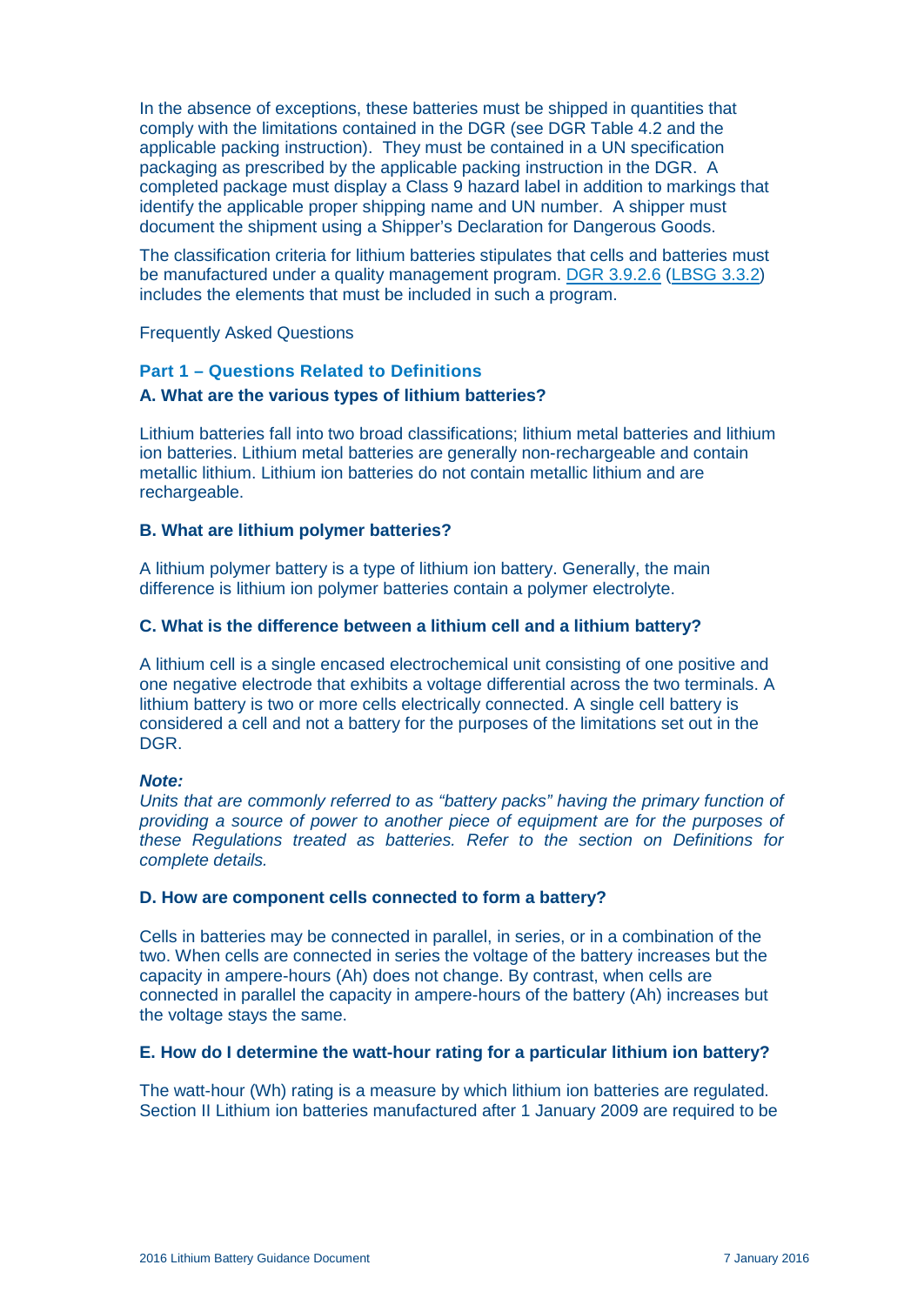In the absence of exceptions, these batteries must be shipped in quantities that comply with the limitations contained in the DGR (see DGR Table 4.2 and the applicable packing instruction). They must be contained in a UN specification packaging as prescribed by the applicable packing instruction in the DGR. A completed package must display a Class 9 hazard label in addition to markings that identify the applicable proper shipping name and UN number. A shipper must document the shipment using a Shipper's Declaration for Dangerous Goods.

The classification criteria for lithium batteries stipulates that cells and batteries must be manufactured under a quality management program. [DGR 3.9.2.6](http://www.iata.org/dgr) [\(LBSG 3.3.2\)](http://www.iata.org/lbsg) includes the elements that must be included in such a program.

Frequently Asked Questions

#### **Part 1 – Questions Related to Definitions**

#### **A. What are the various types of lithium batteries?**

Lithium batteries fall into two broad classifications; lithium metal batteries and lithium ion batteries. Lithium metal batteries are generally non-rechargeable and contain metallic lithium. Lithium ion batteries do not contain metallic lithium and are rechargeable.

#### **B. What are lithium polymer batteries?**

A lithium polymer battery is a type of lithium ion battery. Generally, the main difference is lithium ion polymer batteries contain a polymer electrolyte.

#### **C. What is the difference between a lithium cell and a lithium battery?**

A lithium cell is a single encased electrochemical unit consisting of one positive and one negative electrode that exhibits a voltage differential across the two terminals. A lithium battery is two or more cells electrically connected. A single cell battery is considered a cell and not a battery for the purposes of the limitations set out in the DGR.

#### *Note:*

*Units that are commonly referred to as "battery packs" having the primary function of providing a source of power to another piece of equipment are for the purposes of these Regulations treated as batteries. Refer to the section on Definitions for complete details.*

#### **D. How are component cells connected to form a battery?**

Cells in batteries may be connected in parallel, in series, or in a combination of the two. When cells are connected in series the voltage of the battery increases but the capacity in ampere-hours (Ah) does not change. By contrast, when cells are connected in parallel the capacity in ampere-hours of the battery (Ah) increases but the voltage stays the same.

#### **E. How do I determine the watt-hour rating for a particular lithium ion battery?**

The watt-hour (Wh) rating is a measure by which lithium ion batteries are regulated. Section II Lithium ion batteries manufactured after 1 January 2009 are required to be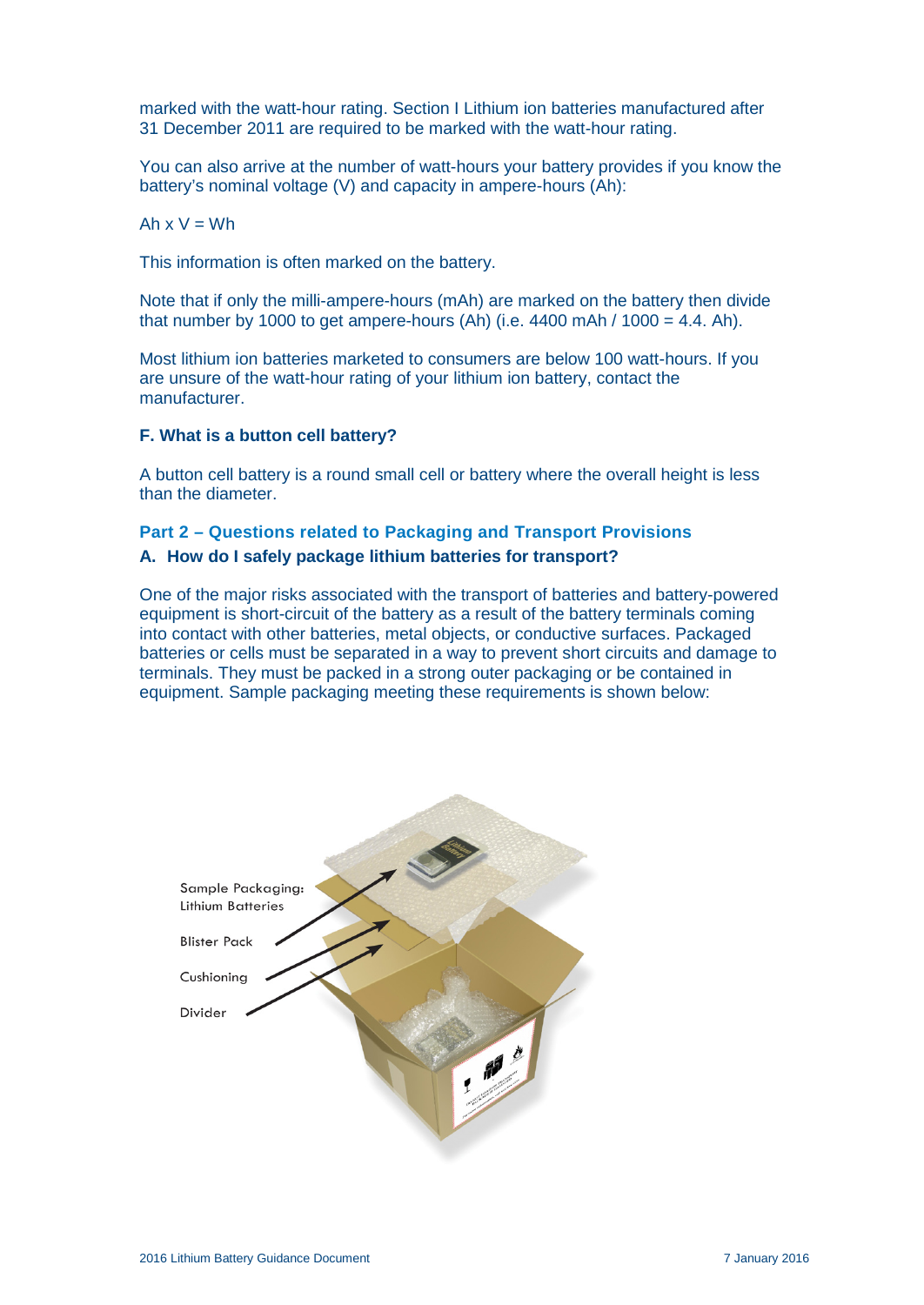marked with the watt-hour rating. Section I Lithium ion batteries manufactured after 31 December 2011 are required to be marked with the watt-hour rating.

You can also arrive at the number of watt-hours your battery provides if you know the battery's nominal voltage (V) and capacity in ampere-hours (Ah):

Ah  $x V = Wh$ 

This information is often marked on the battery.

Note that if only the milli-ampere-hours (mAh) are marked on the battery then divide that number by 1000 to get ampere-hours (Ah) (i.e.  $4400$  mAh /  $1000 = 4.4$ . Ah).

Most lithium ion batteries marketed to consumers are below 100 watt-hours. If you are unsure of the watt-hour rating of your lithium ion battery, contact the manufacturer.

#### **F. What is a button cell battery?**

A button cell battery is a round small cell or battery where the overall height is less than the diameter.

# **Part 2 – Questions related to Packaging and Transport Provisions A. How do I safely package lithium batteries for transport?**

One of the major risks associated with the transport of batteries and battery-powered equipment is short-circuit of the battery as a result of the battery terminals coming into contact with other batteries, metal objects, or conductive surfaces. Packaged batteries or cells must be separated in a way to prevent short circuits and damage to terminals. They must be packed in a strong outer packaging or be contained in equipment. Sample packaging meeting these requirements is shown below:

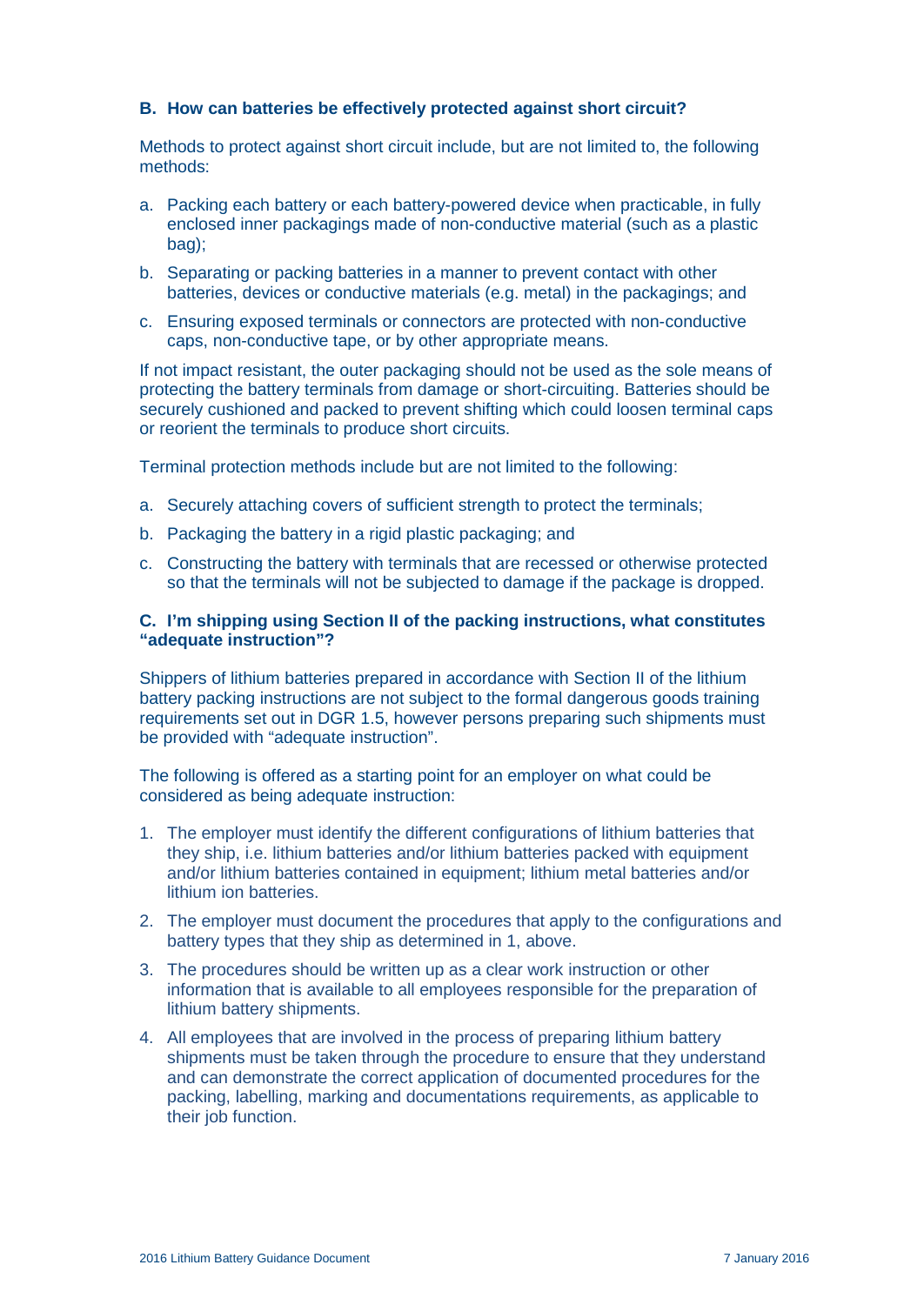# **B. How can batteries be effectively protected against short circuit?**

Methods to protect against short circuit include, but are not limited to, the following methods:

- a. Packing each battery or each battery-powered device when practicable, in fully enclosed inner packagings made of non-conductive material (such as a plastic bag);
- b. Separating or packing batteries in a manner to prevent contact with other batteries, devices or conductive materials (e.g. metal) in the packagings; and
- c. Ensuring exposed terminals or connectors are protected with non-conductive caps, non-conductive tape, or by other appropriate means.

If not impact resistant, the outer packaging should not be used as the sole means of protecting the battery terminals from damage or short-circuiting. Batteries should be securely cushioned and packed to prevent shifting which could loosen terminal caps or reorient the terminals to produce short circuits.

Terminal protection methods include but are not limited to the following:

- a. Securely attaching covers of sufficient strength to protect the terminals;
- b. Packaging the battery in a rigid plastic packaging; and
- c. Constructing the battery with terminals that are recessed or otherwise protected so that the terminals will not be subjected to damage if the package is dropped.

#### **C. I'm shipping using Section II of the packing instructions, what constitutes "adequate instruction"?**

Shippers of lithium batteries prepared in accordance with Section II of the lithium battery packing instructions are not subject to the formal dangerous goods training requirements set out in DGR 1.5, however persons preparing such shipments must be provided with "adequate instruction".

The following is offered as a starting point for an employer on what could be considered as being adequate instruction:

- 1. The employer must identify the different configurations of lithium batteries that they ship, i.e. lithium batteries and/or lithium batteries packed with equipment and/or lithium batteries contained in equipment; lithium metal batteries and/or lithium ion batteries.
- 2. The employer must document the procedures that apply to the configurations and battery types that they ship as determined in 1, above.
- 3. The procedures should be written up as a clear work instruction or other information that is available to all employees responsible for the preparation of lithium battery shipments.
- 4. All employees that are involved in the process of preparing lithium battery shipments must be taken through the procedure to ensure that they understand and can demonstrate the correct application of documented procedures for the packing, labelling, marking and documentations requirements, as applicable to their job function.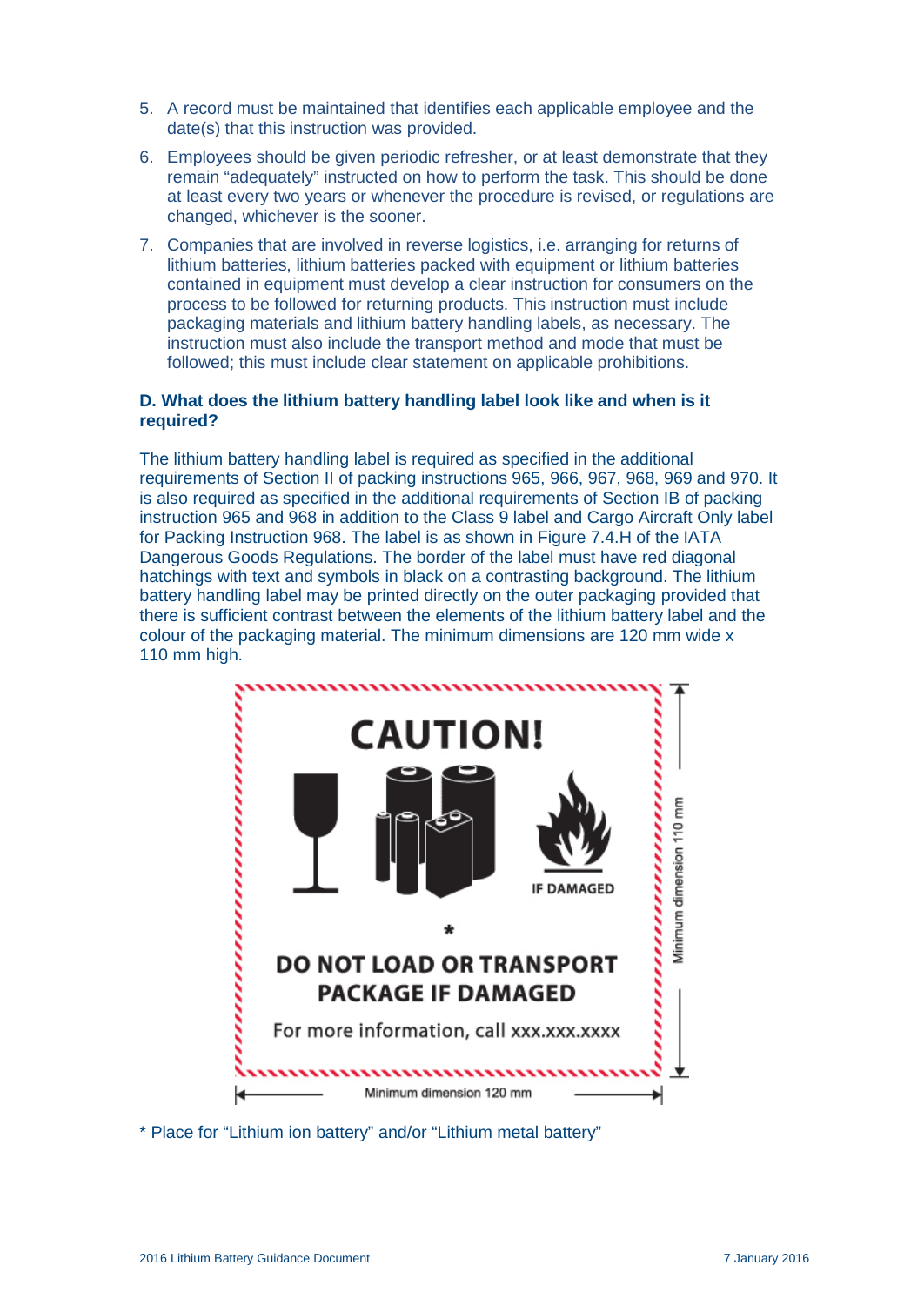- 5. A record must be maintained that identifies each applicable employee and the date(s) that this instruction was provided.
- 6. Employees should be given periodic refresher, or at least demonstrate that they remain "adequately" instructed on how to perform the task. This should be done at least every two years or whenever the procedure is revised, or regulations are changed, whichever is the sooner.
- 7. Companies that are involved in reverse logistics, i.e. arranging for returns of lithium batteries, lithium batteries packed with equipment or lithium batteries contained in equipment must develop a clear instruction for consumers on the process to be followed for returning products. This instruction must include packaging materials and lithium battery handling labels, as necessary. The instruction must also include the transport method and mode that must be followed; this must include clear statement on applicable prohibitions.

#### **D. What does the lithium battery handling label look like and when is it required?**

The lithium battery handling label is required as specified in the additional requirements of Section II of packing instructions 965, 966, 967, 968, 969 and 970. It is also required as specified in the additional requirements of Section IB of packing instruction 965 and 968 in addition to the Class 9 label and Cargo Aircraft Only label for Packing Instruction 968. The label is as shown in Figure 7.4.H of the IATA Dangerous Goods Regulations. The border of the label must have red diagonal hatchings with text and symbols in black on a contrasting background. The lithium battery handling label may be printed directly on the outer packaging provided that there is sufficient contrast between the elements of the lithium battery label and the colour of the packaging material. The minimum dimensions are 120 mm wide x 110 mm high.



\* Place for "Lithium ion battery" and/or "Lithium metal battery"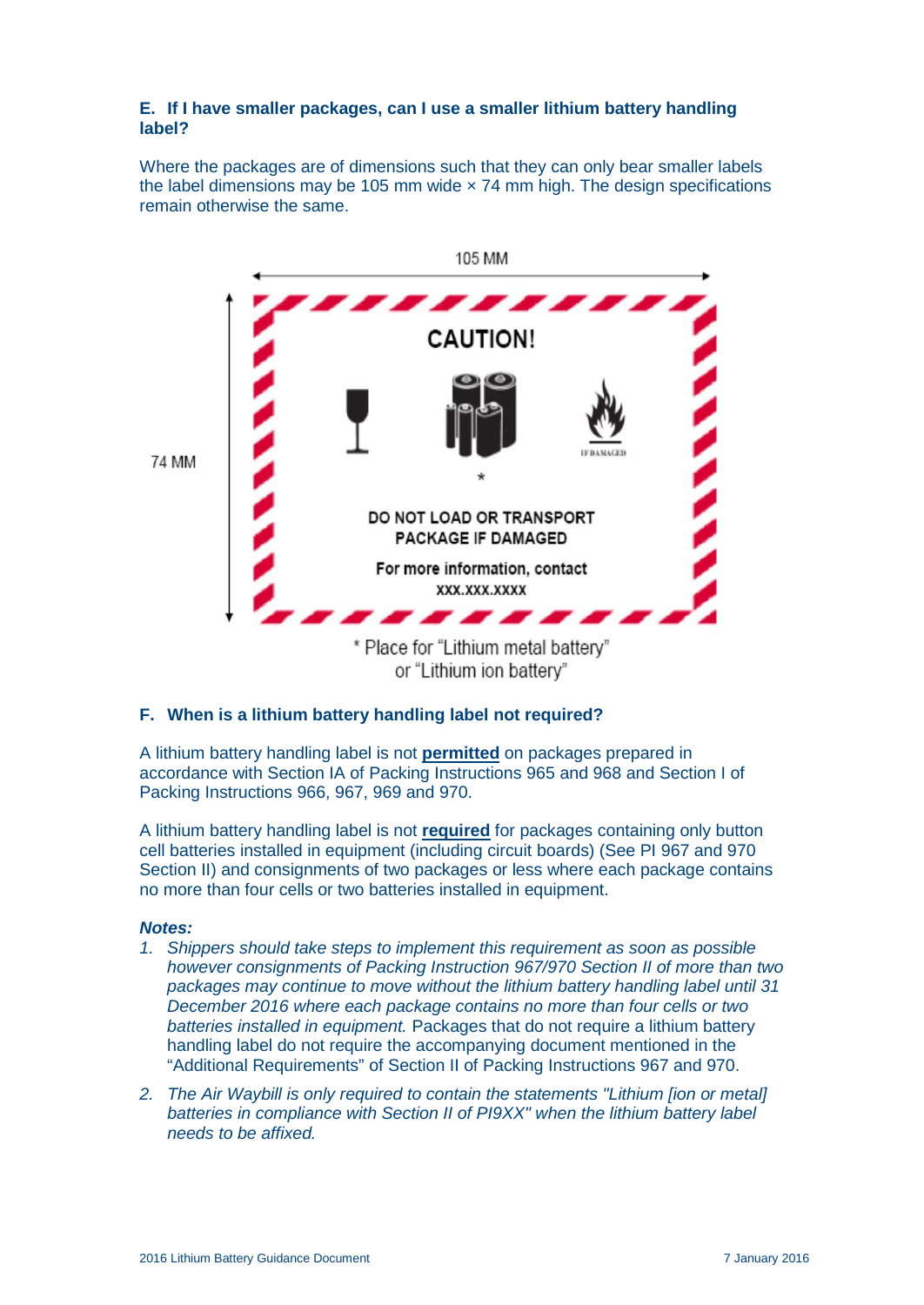#### **E. If I have smaller packages, can I use a smaller lithium battery handling label?**

Where the packages are of dimensions such that they can only bear smaller labels the label dimensions may be 105 mm wide  $\times$  74 mm high. The design specifications remain otherwise the same.



or "Lithium ion battery"

# **F. When is a lithium battery handling label not required?**

A lithium battery handling label is not **permitted** on packages prepared in accordance with Section IA of Packing Instructions 965 and 968 and Section I of Packing Instructions 966, 967, 969 and 970.

A lithium battery handling label is not **required** for packages containing only button cell batteries installed in equipment (including circuit boards) (See PI 967 and 970 Section II) and consignments of two packages or less where each package contains no more than four cells or two batteries installed in equipment.

#### *Notes:*

- *1. Shippers should take steps to implement this requirement as soon as possible however consignments of Packing Instruction 967/970 Section II of more than two packages may continue to move without the lithium battery handling label until 31 December 2016 where each package contains no more than four cells or two batteries installed in equipment.* Packages that do not require a lithium battery handling label do not require the accompanying document mentioned in the "Additional Requirements" of Section II of Packing Instructions 967 and 970.
- *2. The Air Waybill is only required to contain the statements "Lithium [ion or metal] batteries in compliance with Section II of PI9XX" when the lithium battery label needs to be affixed.*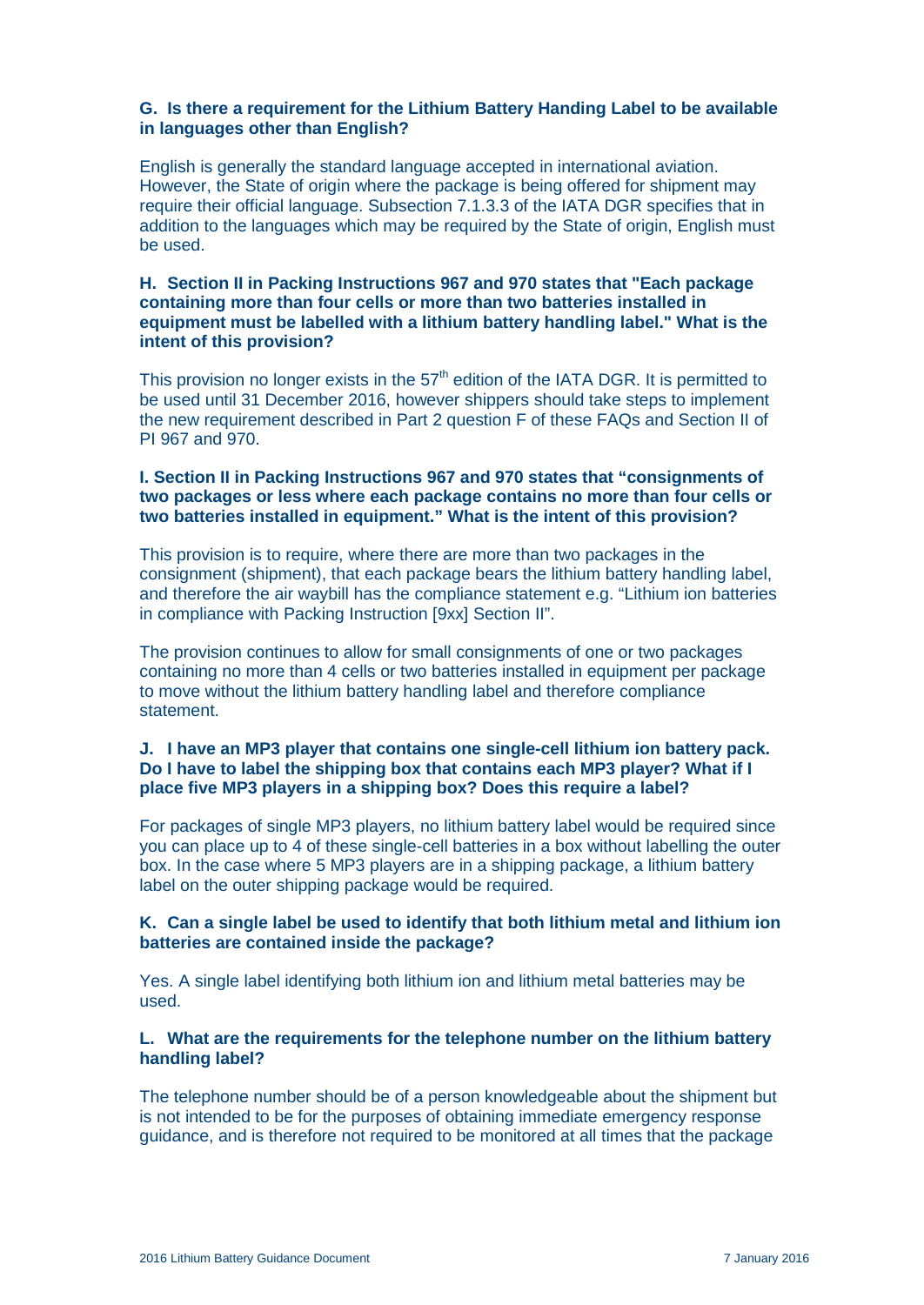#### **G. Is there a requirement for the Lithium Battery Handing Label to be available in languages other than English?**

English is generally the standard language accepted in international aviation. However, the State of origin where the package is being offered for shipment may require their official language. Subsection 7.1.3.3 of the IATA DGR specifies that in addition to the languages which may be required by the State of origin, English must be used.

#### **H. Section II in Packing Instructions 967 and 970 states that "Each package containing more than four cells or more than two batteries installed in equipment must be labelled with a lithium battery handling label." What is the intent of this provision?**

This provision no longer exists in the  $57<sup>th</sup>$  edition of the IATA DGR. It is permitted to be used until 31 December 2016, however shippers should take steps to implement the new requirement described in Part 2 question F of these FAQs and Section II of PI 967 and 970.

#### **I. Section II in Packing Instructions 967 and 970 states that "consignments of two packages or less where each package contains no more than four cells or two batteries installed in equipment." What is the intent of this provision?**

This provision is to require, where there are more than two packages in the consignment (shipment), that each package bears the lithium battery handling label, and therefore the air waybill has the compliance statement e.g. "Lithium ion batteries in compliance with Packing Instruction [9xx] Section II".

The provision continues to allow for small consignments of one or two packages containing no more than 4 cells or two batteries installed in equipment per package to move without the lithium battery handling label and therefore compliance statement.

# **J. I have an MP3 player that contains one single-cell lithium ion battery pack. Do I have to label the shipping box that contains each MP3 player? What if I place five MP3 players in a shipping box? Does this require a label?**

For packages of single MP3 players, no lithium battery label would be required since you can place up to 4 of these single-cell batteries in a box without labelling the outer box. In the case where 5 MP3 players are in a shipping package, a lithium battery label on the outer shipping package would be required.

#### **K. Can a single label be used to identify that both lithium metal and lithium ion batteries are contained inside the package?**

Yes. A single label identifying both lithium ion and lithium metal batteries may be used.

#### **L. What are the requirements for the telephone number on the lithium battery handling label?**

The telephone number should be of a person knowledgeable about the shipment but is not intended to be for the purposes of obtaining immediate emergency response guidance, and is therefore not required to be monitored at all times that the package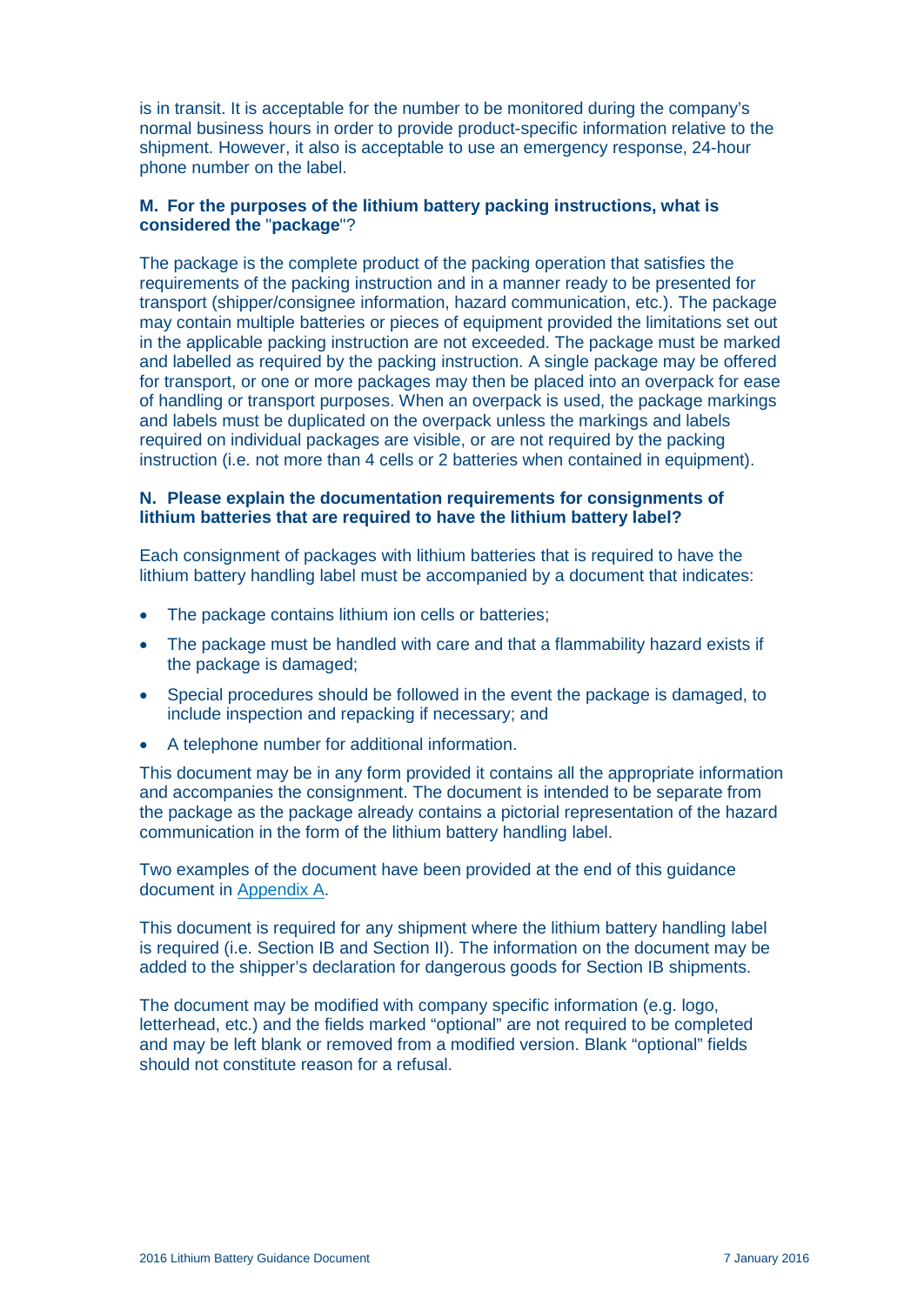is in transit. It is acceptable for the number to be monitored during the company's normal business hours in order to provide product-specific information relative to the shipment. However, it also is acceptable to use an emergency response, 24-hour phone number on the label.

#### **M. For the purposes of the lithium battery packing instructions, what is considered the** "**package**"?

The package is the complete product of the packing operation that satisfies the requirements of the packing instruction and in a manner ready to be presented for transport (shipper/consignee information, hazard communication, etc.). The package may contain multiple batteries or pieces of equipment provided the limitations set out in the applicable packing instruction are not exceeded. The package must be marked and labelled as required by the packing instruction. A single package may be offered for transport, or one or more packages may then be placed into an overpack for ease of handling or transport purposes. When an overpack is used, the package markings and labels must be duplicated on the overpack unless the markings and labels required on individual packages are visible, or are not required by the packing instruction (i.e. not more than 4 cells or 2 batteries when contained in equipment).

#### **N. Please explain the documentation requirements for consignments of lithium batteries that are required to have the lithium battery label?**

Each consignment of packages with lithium batteries that is required to have the lithium battery handling label must be accompanied by a document that indicates:

- The package contains lithium ion cells or batteries;
- The package must be handled with care and that a flammability hazard exists if the package is damaged;
- Special procedures should be followed in the event the package is damaged, to include inspection and repacking if necessary; and
- A telephone number for additional information.

This document may be in any form provided it contains all the appropriate information and accompanies the consignment. The document is intended to be separate from the package as the package already contains a pictorial representation of the hazard communication in the form of the lithium battery handling label.

Two examples of the document have been provided at the end of this guidance document in [Appendix A.](#page-15-0)

This document is required for any shipment where the lithium battery handling label is required (i.e. Section IB and Section II). The information on the document may be added to the shipper's declaration for dangerous goods for Section IB shipments.

The document may be modified with company specific information (e.g. logo, letterhead, etc.) and the fields marked "optional" are not required to be completed and may be left blank or removed from a modified version. Blank "optional" fields should not constitute reason for a refusal.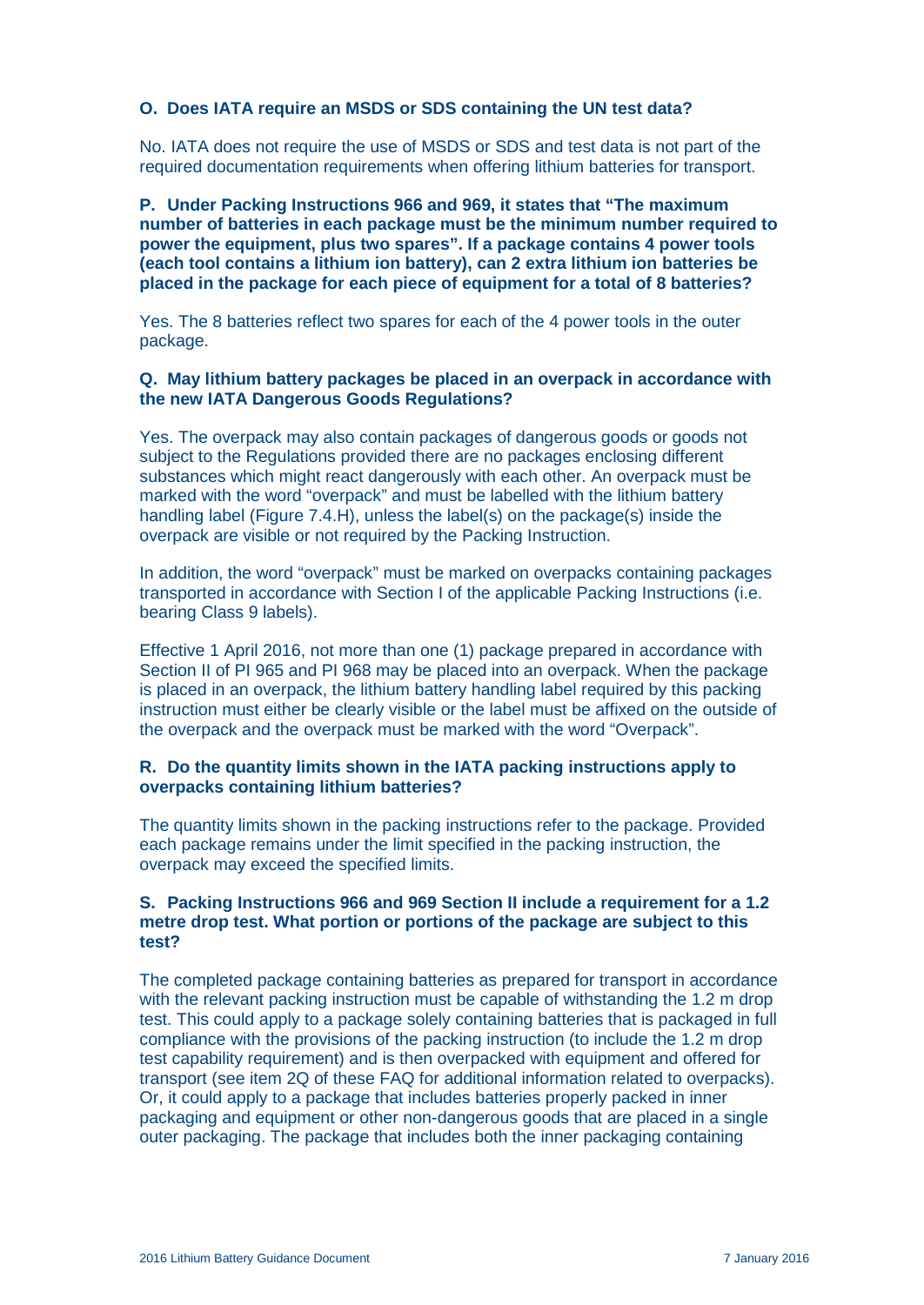#### **O. Does IATA require an MSDS or SDS containing the UN test data?**

No. IATA does not require the use of MSDS or SDS and test data is not part of the required documentation requirements when offering lithium batteries for transport.

**P. Under Packing Instructions 966 and 969, it states that "The maximum number of batteries in each package must be the minimum number required to power the equipment, plus two spares". If a package contains 4 power tools (each tool contains a lithium ion battery), can 2 extra lithium ion batteries be placed in the package for each piece of equipment for a total of 8 batteries?**

Yes. The 8 batteries reflect two spares for each of the 4 power tools in the outer package.

#### **Q. May lithium battery packages be placed in an overpack in accordance with the new IATA Dangerous Goods Regulations?**

Yes. The overpack may also contain packages of dangerous goods or goods not subject to the Regulations provided there are no packages enclosing different substances which might react dangerously with each other. An overpack must be marked with the word "overpack" and must be labelled with the lithium battery handling label (Figure 7.4.H), unless the label(s) on the package(s) inside the overpack are visible or not required by the Packing Instruction.

In addition, the word "overpack" must be marked on overpacks containing packages transported in accordance with Section I of the applicable Packing Instructions (i.e. bearing Class 9 labels).

Effective 1 April 2016, not more than one (1) package prepared in accordance with Section II of PI 965 and PI 968 may be placed into an overpack. When the package is placed in an overpack, the lithium battery handling label required by this packing instruction must either be clearly visible or the label must be affixed on the outside of the overpack and the overpack must be marked with the word "Overpack".

# **R. Do the quantity limits shown in the IATA packing instructions apply to overpacks containing lithium batteries?**

The quantity limits shown in the packing instructions refer to the package. Provided each package remains under the limit specified in the packing instruction, the overpack may exceed the specified limits.

#### **S. Packing Instructions 966 and 969 Section II include a requirement for a 1.2 metre drop test. What portion or portions of the package are subject to this test?**

The completed package containing batteries as prepared for transport in accordance with the relevant packing instruction must be capable of withstanding the 1.2 m drop test. This could apply to a package solely containing batteries that is packaged in full compliance with the provisions of the packing instruction (to include the 1.2 m drop test capability requirement) and is then overpacked with equipment and offered for transport (see item 2Q of these FAQ for additional information related to overpacks). Or, it could apply to a package that includes batteries properly packed in inner packaging and equipment or other non-dangerous goods that are placed in a single outer packaging. The package that includes both the inner packaging containing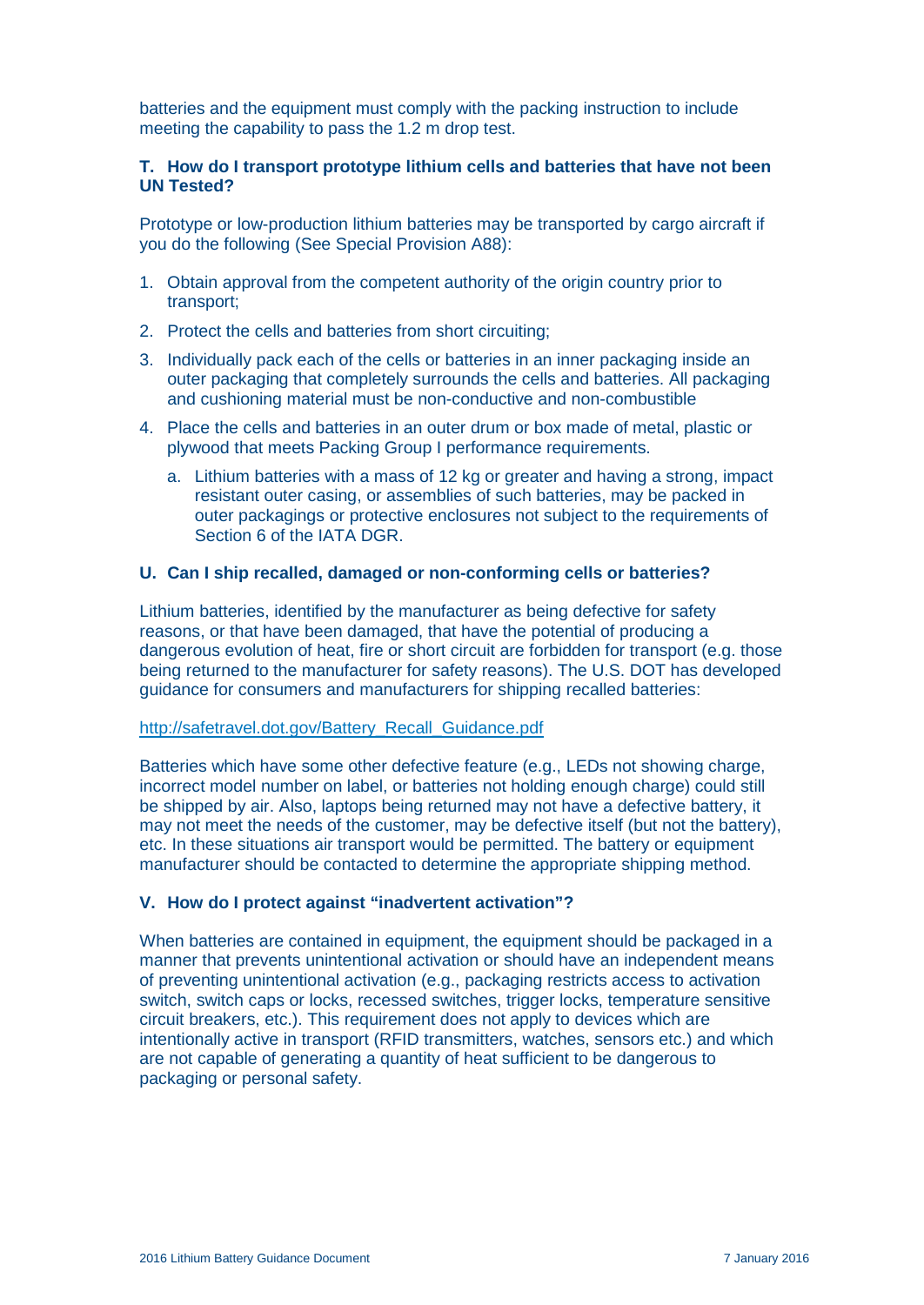batteries and the equipment must comply with the packing instruction to include meeting the capability to pass the 1.2 m drop test.

#### **T. How do I transport prototype lithium cells and batteries that have not been UN Tested?**

Prototype or low-production lithium batteries may be transported by cargo aircraft if you do the following (See Special Provision A88):

- 1. Obtain approval from the competent authority of the origin country prior to transport;
- 2. Protect the cells and batteries from short circuiting;
- 3. Individually pack each of the cells or batteries in an inner packaging inside an outer packaging that completely surrounds the cells and batteries. All packaging and cushioning material must be non-conductive and non-combustible
- 4. Place the cells and batteries in an outer drum or box made of metal, plastic or plywood that meets Packing Group I performance requirements.
	- a. Lithium batteries with a mass of 12 kg or greater and having a strong, impact resistant outer casing, or assemblies of such batteries, may be packed in outer packagings or protective enclosures not subject to the requirements of Section 6 of the IATA DGR.

#### **U. Can I ship recalled, damaged or non-conforming cells or batteries?**

Lithium batteries, identified by the manufacturer as being defective for safety reasons, or that have been damaged, that have the potential of producing a dangerous evolution of heat, fire or short circuit are forbidden for transport (e.g. those being returned to the manufacturer for safety reasons). The U.S. DOT has developed guidance for consumers and manufacturers for shipping recalled batteries:

#### [http://safetravel.dot.gov/Battery\\_Recall\\_Guidance.pdf](http://safetravel.dot.gov/Battery_Recall_Guidance.pdf)

Batteries which have some other defective feature (e.g., LEDs not showing charge, incorrect model number on label, or batteries not holding enough charge) could still be shipped by air. Also, laptops being returned may not have a defective battery, it may not meet the needs of the customer, may be defective itself (but not the battery), etc. In these situations air transport would be permitted. The battery or equipment manufacturer should be contacted to determine the appropriate shipping method.

#### **V. How do I protect against "inadvertent activation"?**

When batteries are contained in equipment, the equipment should be packaged in a manner that prevents unintentional activation or should have an independent means of preventing unintentional activation (e.g., packaging restricts access to activation switch, switch caps or locks, recessed switches, trigger locks, temperature sensitive circuit breakers, etc.). This requirement does not apply to devices which are intentionally active in transport (RFID transmitters, watches, sensors etc.) and which are not capable of generating a quantity of heat sufficient to be dangerous to packaging or personal safety.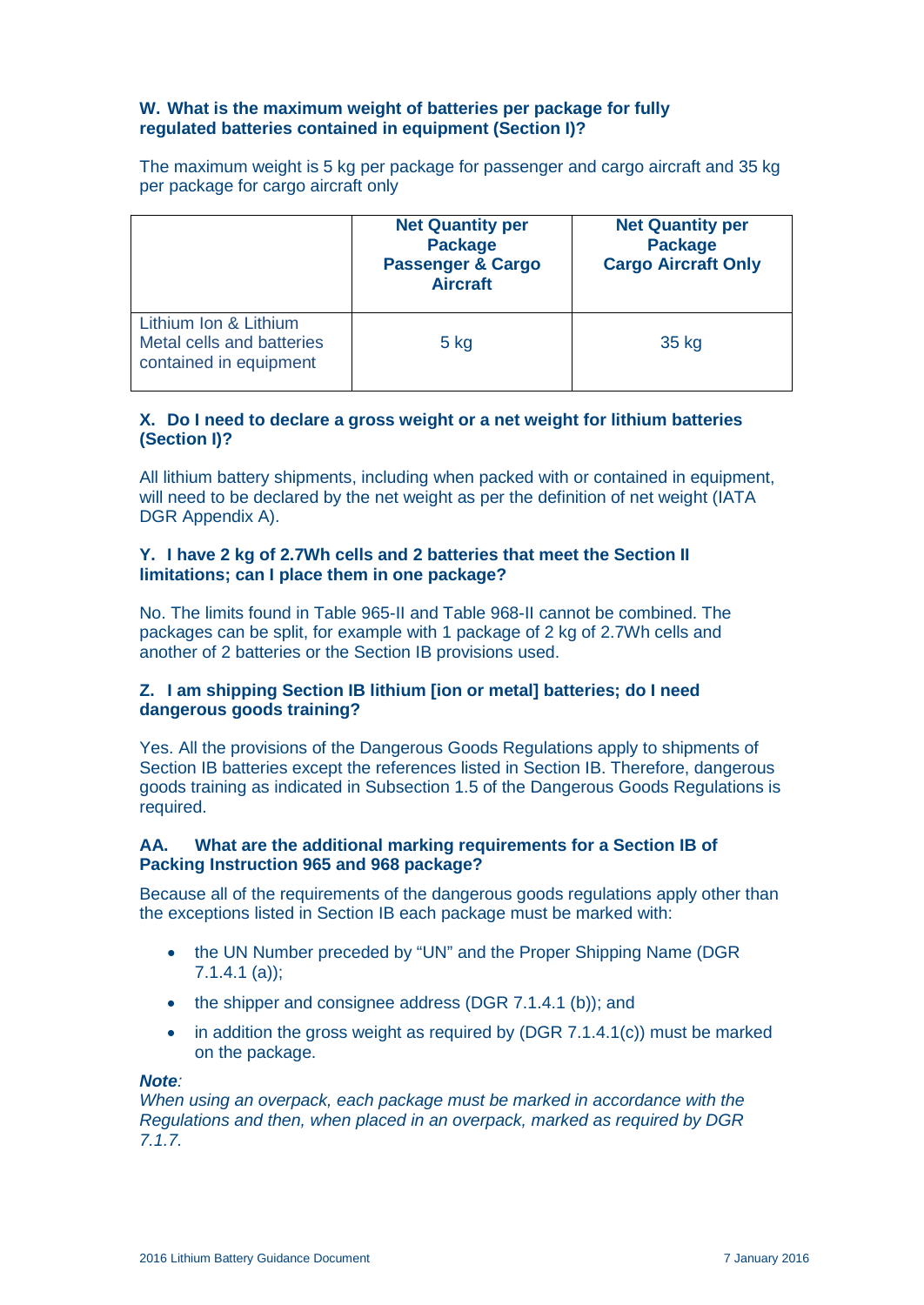# **W. What is the maximum weight of batteries per package for fully regulated batteries contained in equipment (Section I)?**

The maximum weight is 5 kg per package for passenger and cargo aircraft and 35 kg per package for cargo aircraft only

|                                                                              | <b>Net Quantity per</b><br><b>Package</b><br><b>Passenger &amp; Cargo</b><br><b>Aircraft</b> | <b>Net Quantity per</b><br><b>Package</b><br><b>Cargo Aircraft Only</b> |
|------------------------------------------------------------------------------|----------------------------------------------------------------------------------------------|-------------------------------------------------------------------------|
| Lithium Ion & Lithium<br>Metal cells and batteries<br>contained in equipment | $5$ kg                                                                                       | 35 kg                                                                   |

# **X. Do I need to declare a gross weight or a net weight for lithium batteries (Section I)?**

All lithium battery shipments, including when packed with or contained in equipment, will need to be declared by the net weight as per the definition of net weight (IATA DGR Appendix A).

# **Y. I have 2 kg of 2.7Wh cells and 2 batteries that meet the Section II limitations; can I place them in one package?**

No. The limits found in Table 965-II and Table 968-II cannot be combined. The packages can be split, for example with 1 package of 2 kg of 2.7Wh cells and another of 2 batteries or the Section IB provisions used.

# **Z. I am shipping Section IB lithium [ion or metal] batteries; do I need dangerous goods training?**

Yes. All the provisions of the Dangerous Goods Regulations apply to shipments of Section IB batteries except the references listed in Section IB. Therefore, dangerous goods training as indicated in Subsection 1.5 of the Dangerous Goods Regulations is required.

#### **AA. What are the additional marking requirements for a Section IB of Packing Instruction 965 and 968 package?**

Because all of the requirements of the dangerous goods regulations apply other than the exceptions listed in Section IB each package must be marked with:

- the UN Number preceded by "UN" and the Proper Shipping Name (DGR) 7.1.4.1 (a));
- the shipper and consignee address (DGR 7.1.4.1 (b)); and
- in addition the gross weight as required by (DGR  $7.1.4.1(c)$ ) must be marked on the package.

#### *Note:*

*When using an overpack, each package must be marked in accordance with the Regulations and then, when placed in an overpack, marked as required by DGR 7.1.7.*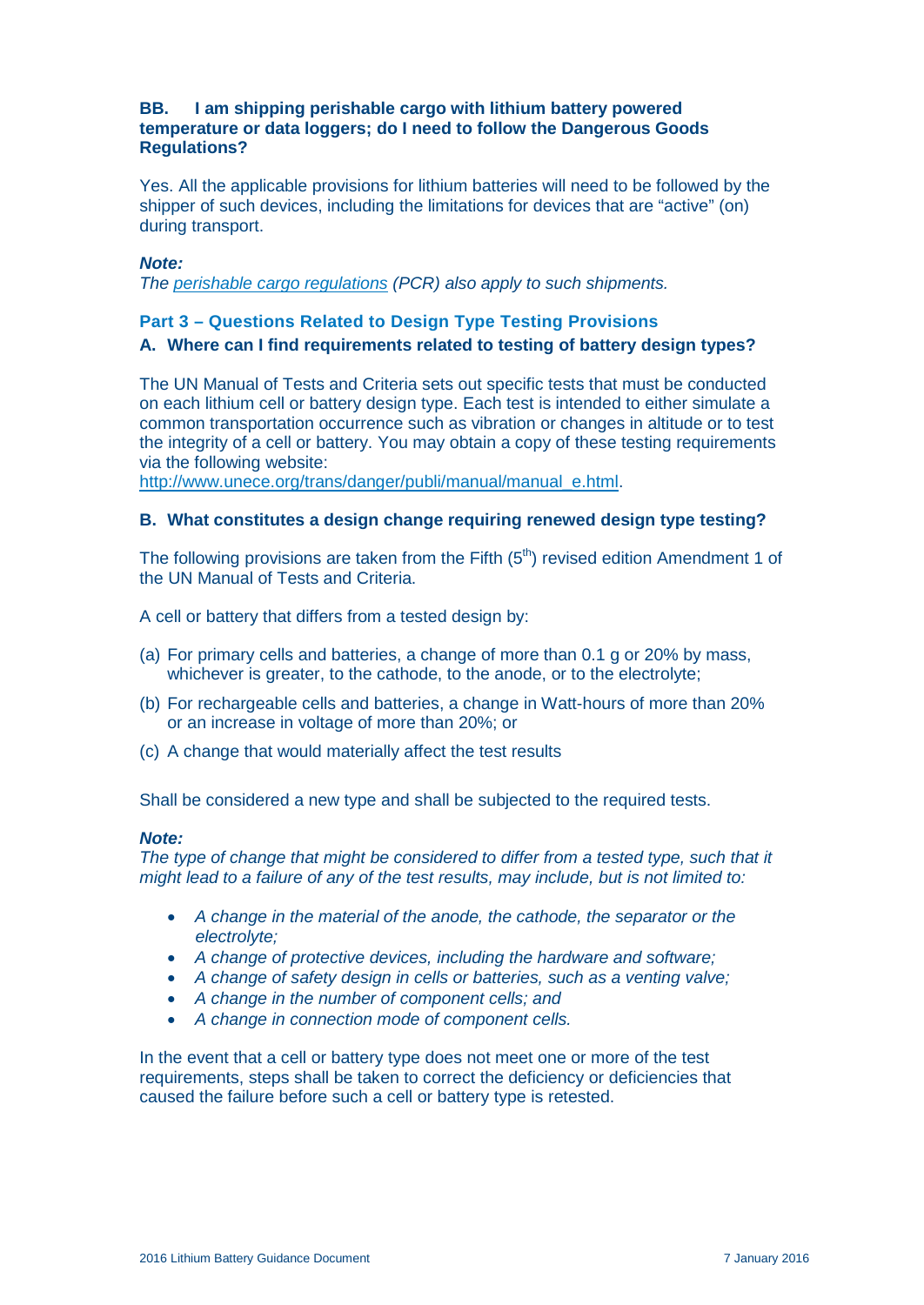#### **BB. I am shipping perishable cargo with lithium battery powered temperature or data loggers; do I need to follow the Dangerous Goods Regulations?**

Yes. All the applicable provisions for lithium batteries will need to be followed by the shipper of such devices, including the limitations for devices that are "active" (on) during transport.

#### *Note:*

*The [perishable cargo regulations](http://www.iata.org/pcr) (PCR) also apply to such shipments.*

# **Part 3 – Questions Related to Design Type Testing Provisions**

# **A. Where can I find requirements related to testing of battery design types?**

The UN Manual of Tests and Criteria sets out specific tests that must be conducted on each lithium cell or battery design type. Each test is intended to either simulate a common transportation occurrence such as vibration or changes in altitude or to test the integrity of a cell or battery. You may obtain a copy of these testing requirements via the following website:

[http://www.unece.org/trans/danger/publi/manual/manual\\_e.html.](http://www.unece.org/trans/danger/publi/manual/manual_e.html)

# **B. What constitutes a design change requiring renewed design type testing?**

The following provisions are taken from the Fifth  $(5<sup>th</sup>)$  revised edition Amendment 1 of the UN Manual of Tests and Criteria.

A cell or battery that differs from a tested design by:

- (a) For primary cells and batteries, a change of more than 0.1 g or 20% by mass, whichever is greater, to the cathode, to the anode, or to the electrolyte;
- (b) For rechargeable cells and batteries, a change in Watt-hours of more than 20% or an increase in voltage of more than 20%; or
- (c) A change that would materially affect the test results

Shall be considered a new type and shall be subjected to the required tests.

#### *Note:*

The type of change that might be considered to differ from a tested type, such that it *might lead to a failure of any of the test results, may include, but is not limited to:*

- *A change in the material of the anode, the cathode, the separator or the electrolyte;*
- *A change of protective devices, including the hardware and software;*
- *A change of safety design in cells or batteries, such as a venting valve;*
- *A change in the number of component cells; and*
- *A change in connection mode of component cells.*

In the event that a cell or battery type does not meet one or more of the test requirements, steps shall be taken to correct the deficiency or deficiencies that caused the failure before such a cell or battery type is retested.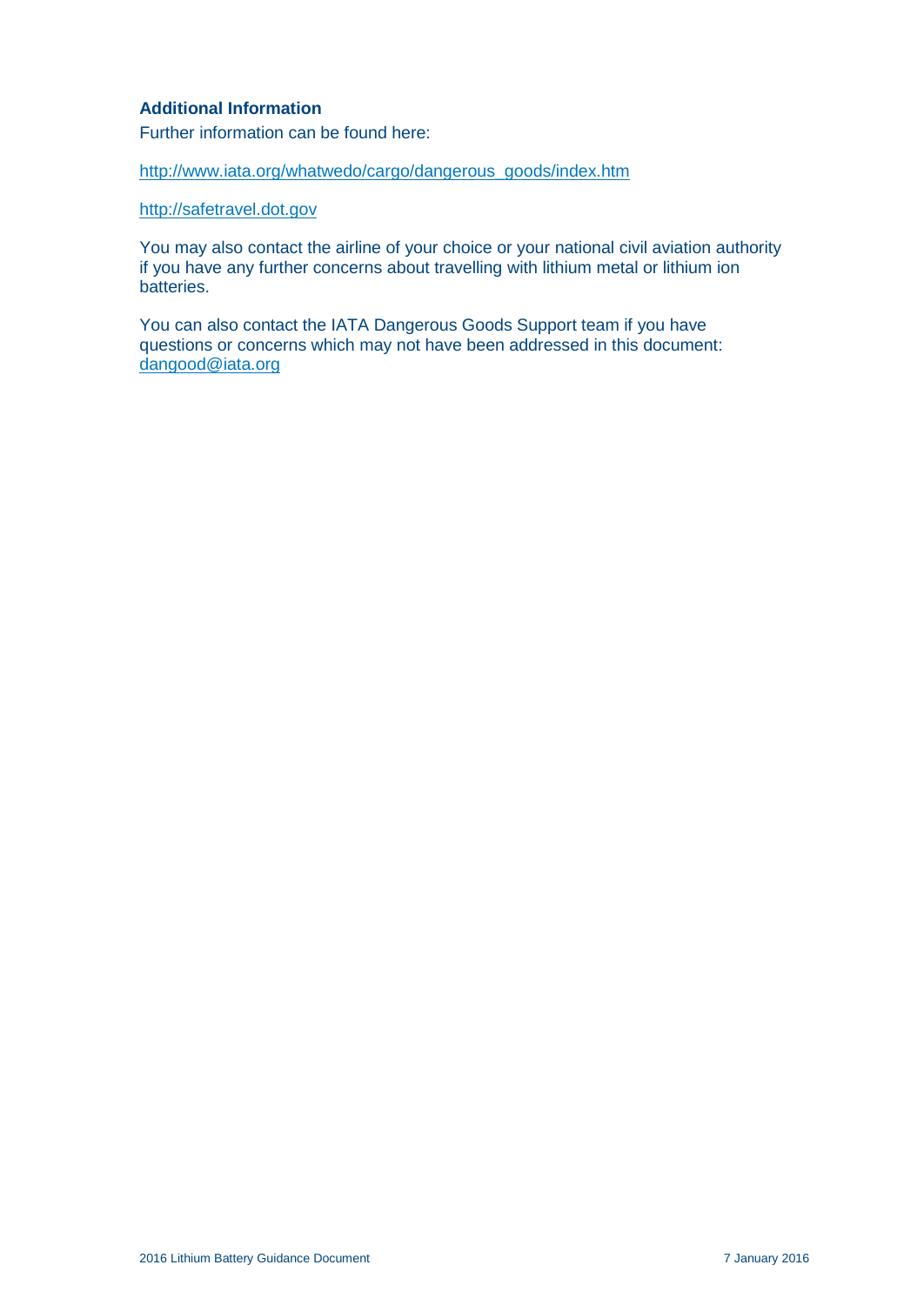# **Additional Information**

Further information can be found here:

[http://www.iata.org/whatwedo/cargo/dangerous\\_goods/index.htm](http://www.iata.org/whatwedo/cargo/dangerous_goods/index.htm)

[http://safetravel.dot.gov](http://safetravel.dot.gov/)

You may also contact the airline of your choice or your national civil aviation authority if you have any further concerns about travelling with lithium metal or lithium ion batteries.

You can also contact the IATA Dangerous Goods Support team if you have questions or concerns which may not have been addressed in this document: [dangood@iata.org](mailto:dangood@iata.org)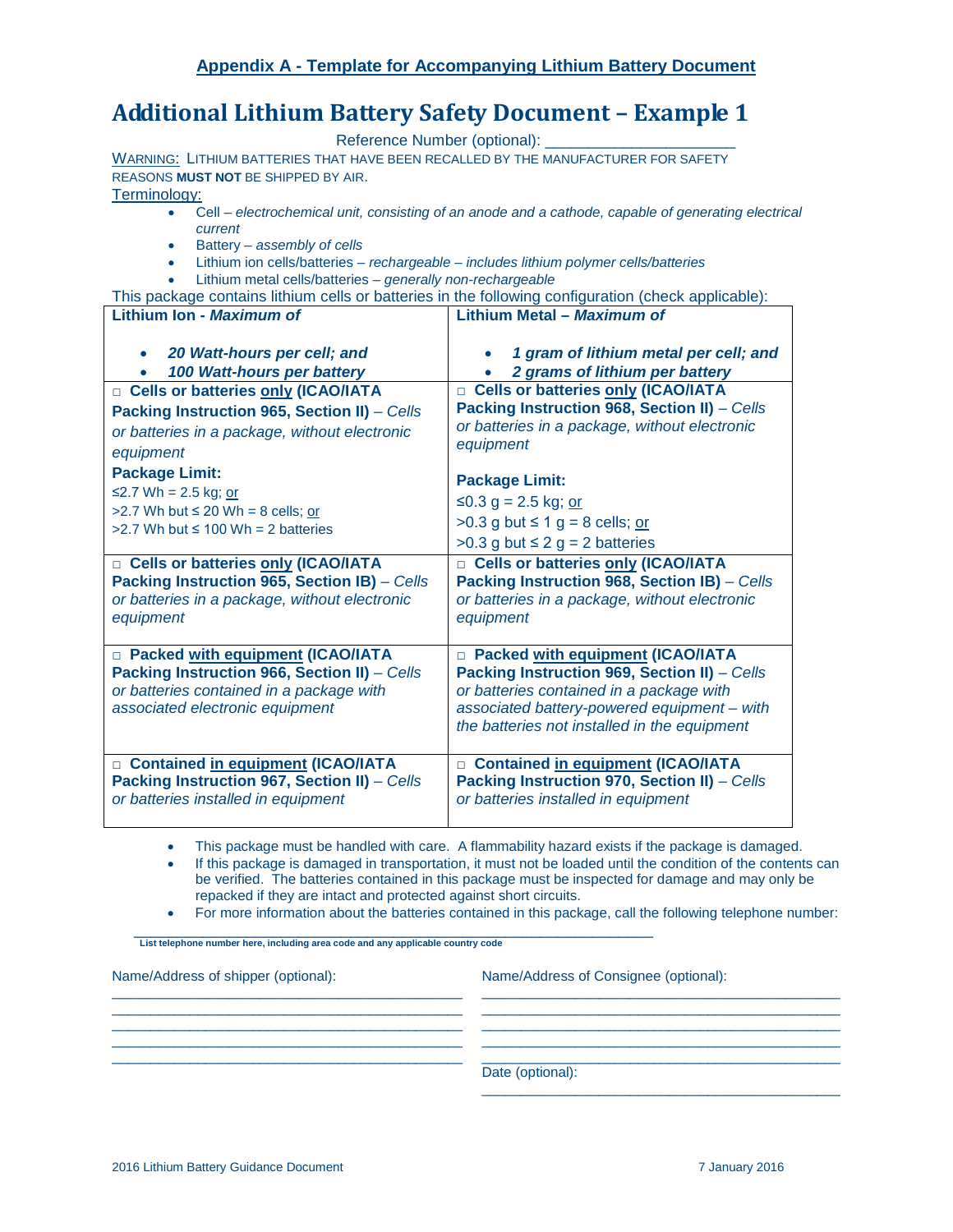# **Additional Lithium Battery Safety Document – Example 1**

Reference Number (optional):

WARNING: LITHIUM BATTERIES THAT HAVE BEEN RECALLED BY THE MANUFACTURER FOR SAFETY REASONS **MUST NOT** BE SHIPPED BY AIR.

<span id="page-15-0"></span>Terminology:

- Cell *electrochemical unit, consisting of an anode and a cathode, capable of generating electrical current*
- Battery *assembly of cells*
- Lithium ion cells/batteries *rechargeable – includes lithium polymer cells/batteries*
- Lithium metal cells/batteries *generally non-rechargeable*

| This package contains lithium cells or batteries in the following configuration (check applicable):                                                       |                                                                                                                                                    |  |
|-----------------------------------------------------------------------------------------------------------------------------------------------------------|----------------------------------------------------------------------------------------------------------------------------------------------------|--|
| Lithium Ion - Maximum of                                                                                                                                  | Lithium Metal - Maximum of                                                                                                                         |  |
| 20 Watt-hours per cell; and<br>100 Watt-hours per battery                                                                                                 | 1 gram of lithium metal per cell; and<br>2 grams of lithium per battery                                                                            |  |
| Cells or batteries only (ICAO/IATA                                                                                                                        | □ Cells or batteries only (ICAO/IATA                                                                                                               |  |
| Packing Instruction 965, Section II) - Cells                                                                                                              | Packing Instruction 968, Section II) - Cells                                                                                                       |  |
| or batteries in a package, without electronic                                                                                                             | or batteries in a package, without electronic                                                                                                      |  |
| equipment                                                                                                                                                 | equipment                                                                                                                                          |  |
| <b>Package Limit:</b>                                                                                                                                     | <b>Package Limit:</b>                                                                                                                              |  |
| ≤2.7 Wh = 2.5 kg; or                                                                                                                                      | ≤0.3 g = 2.5 kg; <u>or</u>                                                                                                                         |  |
| >2.7 Wh but $\leq$ 20 Wh = 8 cells; or                                                                                                                    | $>0.3$ g but $\leq 1$ g = 8 cells; or                                                                                                              |  |
| $>2.7$ Wh but $\leq 100$ Wh = 2 batteries                                                                                                                 | >0.3 g but $\leq$ 2 g = 2 batteries                                                                                                                |  |
|                                                                                                                                                           |                                                                                                                                                    |  |
| <b>D</b> Cells or batteries only (ICAO/IATA<br>Packing Instruction 965, Section IB) - Cells<br>or batteries in a package, without electronic<br>equipment | □ Cells or batteries only (ICAO/IATA<br>Packing Instruction 968, Section IB) - Cells<br>or batteries in a package, without electronic<br>equipment |  |
| D Packed with equipment (ICAO/IATA                                                                                                                        | D Packed with equipment (ICAO/IATA                                                                                                                 |  |
| Packing Instruction 966, Section II) - Cells                                                                                                              | Packing Instruction 969, Section II) - Cells                                                                                                       |  |
| or batteries contained in a package with                                                                                                                  | or batteries contained in a package with                                                                                                           |  |
| associated electronic equipment                                                                                                                           | associated battery-powered equipment - with<br>the batteries not installed in the equipment                                                        |  |
| □ Contained in equipment (ICAO/IATA                                                                                                                       | □ Contained in equipment (ICAO/IATA                                                                                                                |  |
| Packing Instruction 967, Section II) - Cells<br>or batteries installed in equipment                                                                       | Packing Instruction 970, Section II) - Cells<br>or batteries installed in equipment                                                                |  |

• This package must be handled with care. A flammability hazard exists if the package is damaged.

 $\_$  ,  $\_$  ,  $\_$  ,  $\_$  ,  $\_$  ,  $\_$  ,  $\_$  ,  $\_$  ,  $\_$  ,  $\_$  ,  $\_$  ,  $\_$  ,  $\_$  ,  $\_$  ,  $\_$  ,  $\_$  ,  $\_$  ,  $\_$  ,  $\_$  ,  $\_$  ,  $\_$  ,  $\_$  ,  $\_$  ,  $\_$  ,  $\_$  ,  $\_$  ,  $\_$  ,  $\_$  ,  $\_$  ,  $\_$  ,  $\_$  ,  $\_$  ,  $\_$  ,  $\_$  ,  $\_$  ,  $\_$  ,  $\_$  ,  $\_$  ,  $\_$  ,  $\_$  ,  $\_$  ,  $\_$  ,  $\_$  ,  $\_$  ,  $\_$  ,  $\_$  ,  $\_$  ,  $\_$  ,  $\_$  ,  $\_$  ,  $\_$  ,  $\_$  ,  $\_$  ,  $\_$  ,  $\_$  ,  $\_$  ,  $\_$  ,  $\_$  ,  $\_$  ,  $\_$  ,  $\_$  ,  $\_$  ,  $\_$  ,  $\_$  ,  $\_$  ,  $\_$  ,  $\_$  ,  $\_$  ,  $\_$  ,  $\_$  ,  $\_$  ,  $\_$  ,  $\_$  ,  $\_$  ,  $\_$  ,  $\_$  ,  $\_$  ,  $\_$  ,  $\_$  ,  $\_$  ,  $\_$  ,  $\_$  ,  $\_$  ,  $\_$  ,  $\_$  ,  $\_$  ,  $\_$  ,  $\_$  ,  $\_$  ,  $\_$  ,  $\_$  ,  $\_$  ,  $\_$  ,  $\_$  ,  $\_$  ,  $\_$  ,  $\_$  ,  $\_$  ,  $\_$  ,  $\_$  ,  $\_$  ,  $\_$  ,  $\_$  ,  $\_$  ,  $\_$  ,  $\_$  ,  $\_$  ,  $\_$  ,  $\_$  ,  $\_$  ,  $\_$  ,  $\_$  ,  $\_$  ,  $\_$  ,  $\_$  ,  $\_$  ,  $\_$  ,  $\_$  ,  $\_$  ,  $\_$  ,  $\_$  ,  $\_$  ,  $\_$  ,  $\_$  ,  $\_$  ,  $\_$  ,  $\_$  ,  $\_$  ,  $\_$  ,  $\_$  ,  $\_$  ,  $\_$  ,  $\_$  ,  $\_$  ,  $\_$  ,  $\_$  ,  $\_$  ,  $\_$  ,  $\_$  ,  $\_$  ,  $\_$  ,  $\_$  ,  $\_$  ,  $\_$  ,  $\_$  ,  $\_$  ,  $\_$  ,  $\_$  ,

• If this package is damaged in transportation, it must not be loaded until the condition of the contents can be verified. The batteries contained in this package must be inspected for damage and may only be repacked if they are intact and protected against short circuits.

• For more information about the batteries contained in this package, call the following telephone number:

\_\_\_\_\_\_\_\_\_\_\_\_\_\_\_\_\_\_\_\_\_\_\_\_\_\_\_\_\_\_\_\_\_\_\_\_\_\_\_\_\_\_\_\_\_\_\_\_\_\_\_\_\_\_\_\_\_\_\_\_ **List telephone number here, including area code and any applicable country code**

\_\_\_\_\_\_\_\_\_\_\_\_\_\_\_\_\_\_\_\_\_\_\_\_\_\_\_\_\_\_\_\_\_\_\_\_\_\_\_\_\_\_\_\_\_

Name/Address of shipper (optional):

Name/Address of Consignee (optional):

\_\_\_\_\_\_\_\_\_\_\_\_\_\_\_\_\_\_\_\_\_\_\_\_\_\_\_\_\_\_\_\_\_\_\_\_\_\_\_\_\_\_\_\_\_\_

\_\_\_\_\_\_\_\_\_\_\_\_\_\_\_\_\_\_\_\_\_\_\_\_\_\_\_\_\_\_\_\_\_\_\_\_\_\_\_\_\_\_\_\_\_\_

Date (optional):